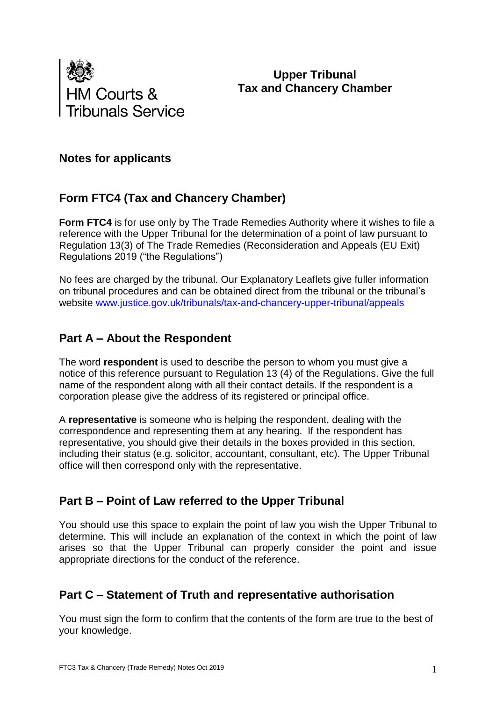

**Upper Tribunal Tax and Chancery Chamber**

### **Notes for applicants**

# **Form FTC4 (Tax and Chancery Chamber)**

**Form FTC4** is for use only by The Trade Remedies Authority where it wishes to file a reference with the Upper Tribunal for the determination of a point of law pursuant to Regulation 13(3) of The Trade Remedies (Reconsideration and Appeals (EU Exit) Regulations 2019 ("the Regulations")

No fees are charged by the tribunal. Our Explanatory Leaflets give fuller information on tribunal procedures and can be obtained direct from the tribunal or the tribunal's website [www.justice.gov.uk/tribunals/tax-and-chancery-upper-tribunal/appeals](http://www.justice.gov.uk/tribunals/tax-and-chancery-upper-tribunal/appeals)

# **Part A – About the Respondent**

The word **respondent** is used to describe the person to whom you must give a notice of this reference pursuant to Regulation 13 (4) of the Regulations. Give the full name of the respondent along with all their contact details. If the respondent is a corporation please give the address of its registered or principal office.

A **representative** is someone who is helping the respondent, dealing with the correspondence and representing them at any hearing. If the respondent has representative, you should give their details in the boxes provided in this section, including their status (e.g. solicitor, accountant, consultant, etc). The Upper Tribunal office will then correspond only with the representative.

### **Part B – Point of Law referred to the Upper Tribunal**

You should use this space to explain the point of law you wish the Upper Tribunal to determine. This will include an explanation of the context in which the point of law arises so that the Upper Tribunal can properly consider the point and issue appropriate directions for the conduct of the reference.

# **Part C – Statement of Truth and representative authorisation**

You must sign the form to confirm that the contents of the form are true to the best of your knowledge.